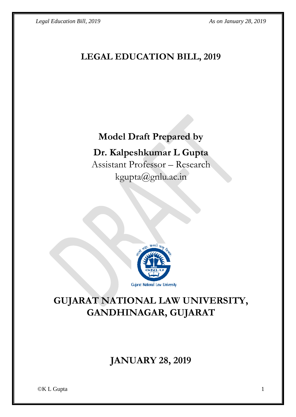*Legal Education Bill, 2019 As on January 28, 2019* 

## **LEGAL EDUCATION BILL, 2019**

# **Model Draft Prepared by**

### **Dr. Kalpeshkumar L Gupta**

Assistant Professor – Research kgupta@gnlu.ac.in



# **GUJARAT NATIONAL LAW UNIVERSITY, GANDHINAGAR, GUJARAT**

# **JANUARY 28, 2019**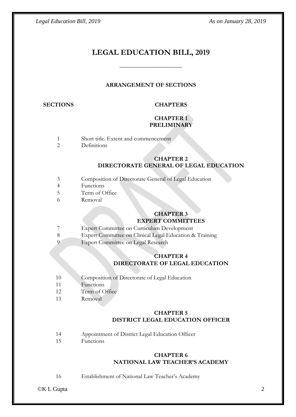### **LEGAL EDUCATION BILL, 2019**

\_\_\_\_\_\_\_\_\_\_\_\_\_\_\_\_\_\_\_\_\_

#### **ARRANGEMENT OF SECTIONS**

#### **SECTIONS CHAPTERS**

#### **CHAPTER 1 PRELIMINARY**

- 1 Short title. Extent and commencement<br>2 Definitions
- **Definitions**

#### **CHAPTER 2 DIRECTORATE GENERAL OF LEGAL EDUCATION**

- 3 Composition of Directorate General of Legal Education
- 4 Functions
- 5 Term of Office
- 6 Removal

#### **CHAPTER 3 EXPERT COMMITTEES**

- 7 Expert Committee on Curriculum Development
- 8 Expert Committee on Clinical Legal Education & Training
- 9 Expert Committee on Legal Research

#### **CHAPTER 4 DIRECTORATE OF LEGAL EDUCATION**

- 10 Composition of Directorate of Legal Education
- 11 Functions
- 12 Term of Office
- 13 Removal

#### **CHAPTER 5 DISTRICT LEGAL EDUCATION OFFICER**

- 14 Appointment of District Legal Education Officer
- 15 Functions

#### **CHAPTER 6 NATIONAL LAW TEACHER'S ACADEMY**

16 Establishment of National Law Teacher's Academy

©K L Gupta 2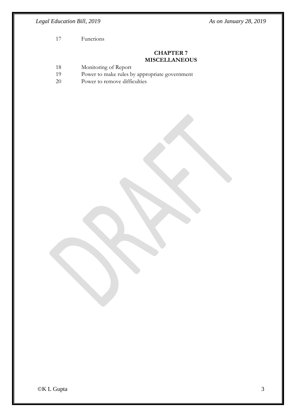*Legal Education Bill, 2019 As on January 28, 2019* 

17 Functions

#### **CHAPTER 7 MISCELLANEOUS**

- 18 Monitoring of Report
- 19 Power to make rules by appropriate government
- 20 Power to remove difficulties

©K L Gupta 3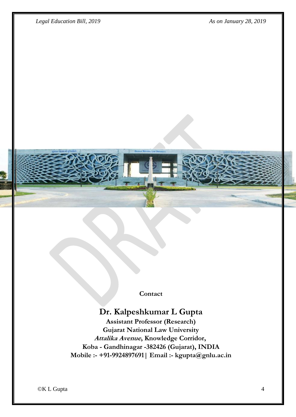*Legal Education Bill, 2019 As on January 28, 2019* 



**Contact**

## **Dr. Kalpeshkumar L Gupta**

**Assistant Professor (Research) Gujarat National Law University Attalika Avenue, Knowledge Corridor, Koba - Gandhinagar -382426 (Gujarat), INDIA Mobile :- +91-9924897691| Email :- kgupta@gnlu.ac.in**